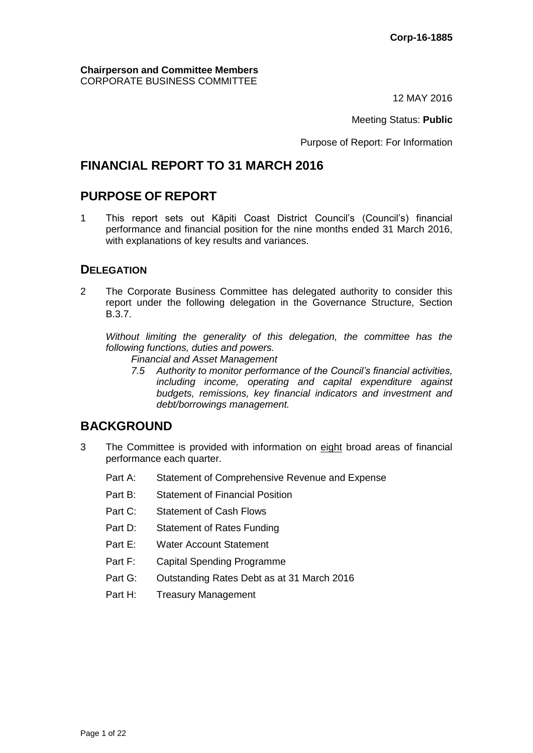**Chairperson and Committee Members** CORPORATE BUSINESS COMMITTEE

12 MAY 2016

Meeting Status: **Public**

Purpose of Report: For Information

# **FINANCIAL REPORT TO 31 MARCH 2016**

# **PURPOSE OF REPORT**

1 This report sets out Kāpiti Coast District Council's (Council's) financial performance and financial position for the nine months ended 31 March 2016, with explanations of key results and variances.

## **DELEGATION**

2 The Corporate Business Committee has delegated authority to consider this report under the following delegation in the Governance Structure, Section B.3.7.

*Without limiting the generality of this delegation, the committee has the following functions, duties and powers.*

*Financial and Asset Management*

*7.5 Authority to monitor performance of the Council's financial activities, including income, operating and capital expenditure against budgets, remissions, key financial indicators and investment and debt/borrowings management.*

# **BACKGROUND**

- 3 The Committee is provided with information on eight broad areas of financial performance each quarter.
	- Part A: Statement of Comprehensive Revenue and Expense
	- Part B: Statement of Financial Position
	- Part C: Statement of Cash Flows
	- Part D: Statement of Rates Funding
	- Part E: Water Account Statement
	- Part F: Capital Spending Programme
	- Part G: Outstanding Rates Debt as at 31 March 2016
	- Part H: Treasury Management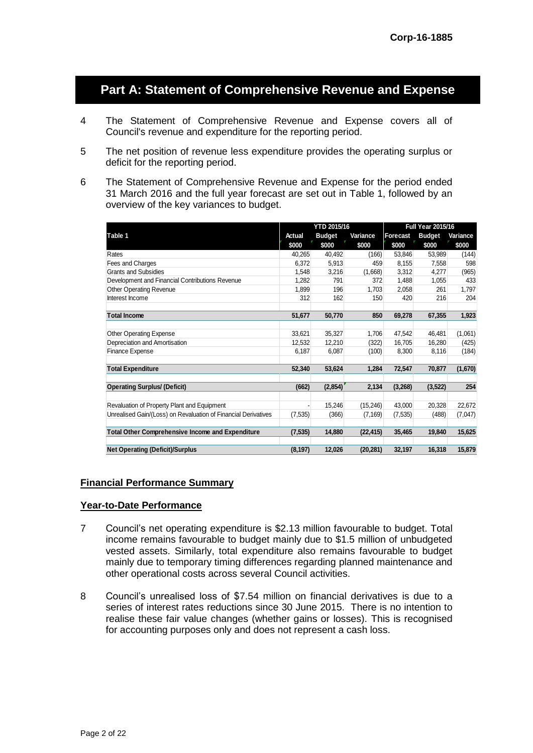# **Part A: Statement of Comprehensive Revenue and Expense**

- 4 The Statement of Comprehensive Revenue and Expense covers all of Council's revenue and expenditure for the reporting period.
- 5 The net position of revenue less expenditure provides the operating surplus or deficit for the reporting period.
- 6 The Statement of Comprehensive Revenue and Expense for the period ended 31 March 2016 and the full year forecast are set out in Table 1, followed by an overview of the key variances to budget.

|                                                                | <b>YTD 2015/16</b> |               | <b>Full Year 2015/16</b> |                 |               |          |
|----------------------------------------------------------------|--------------------|---------------|--------------------------|-----------------|---------------|----------|
| Table 1                                                        | Actual             | <b>Budget</b> | Variance                 | <b>Forecast</b> | <b>Budget</b> | Variance |
|                                                                | \$000              | \$000         | \$000                    | \$000           | \$000         | \$000    |
| Rates                                                          | 40,265             | 40,492        | (166)                    | 53,846          | 53,989        | (144)    |
| Fees and Charges                                               | 6,372              | 5,913         | 459                      | 8,155           | 7,558         | 598      |
| <b>Grants and Subsidies</b>                                    | 1,548              | 3,216         | (1,668)                  | 3,312           | 4,277         | (965)    |
| Development and Financial Contributions Revenue                | 1,282              | 791           | 372                      | 1,488           | 1,055         | 433      |
| <b>Other Operating Revenue</b>                                 | 1,899              | 196           | 1,703                    | 2,058           | 261           | 1,797    |
| Interest Income                                                | 312                | 162           | 150                      | 420             | 216           | 204      |
| <b>Total Income</b>                                            | 51,677             | 50,770        | 850                      | 69,278          | 67,355        | 1,923    |
|                                                                |                    |               |                          |                 |               |          |
| <b>Other Operating Expense</b>                                 | 33,621             | 35,327        | 1,706                    | 47,542          | 46,481        | (1,061)  |
| Depreciation and Amortisation                                  | 12.532             | 12.210        | (322)                    | 16,705          | 16.280        | (425)    |
| <b>Finance Expense</b>                                         | 6,187              | 6.087         | (100)                    | 8,300           | 8,116         | (184)    |
| <b>Total Expenditure</b>                                       | 52,340             | 53,624        | 1,284                    | 72,547          | 70,877        | (1,670)  |
| <b>Operating Surplus/ (Deficit)</b>                            | (662)              | (2,854)       | 2,134                    | (3, 268)        | (3, 522)      | 254      |
| Revaluation of Property Plant and Equipment                    |                    | 15,246        | (15, 246)                | 43,000          | 20,328        | 22,672   |
| Unrealised Gain/(Loss) on Revaluation of Financial Derivatives | (7, 535)           | (366)         | (7, 169)                 | (7, 535)        | (488)         | (7,047)  |
| <b>Total Other Comprehensive Income and Expenditure</b>        | (7, 535)           | 14.880        | (22,415)                 | 35.465          | 19,840        | 15,625   |
| <b>Net Operating (Deficit)/Surplus</b>                         | (8, 197)           | 12,026        | (20, 281)                | 32,197          | 16,318        | 15,879   |

#### **Financial Performance Summary**

#### **Year-to-Date Performance**

- 7 Council's net operating expenditure is \$2.13 million favourable to budget. Total income remains favourable to budget mainly due to \$1.5 million of unbudgeted vested assets. Similarly, total expenditure also remains favourable to budget mainly due to temporary timing differences regarding planned maintenance and other operational costs across several Council activities.
- 8 Council's unrealised loss of \$7.54 million on financial derivatives is due to a series of interest rates reductions since 30 June 2015. There is no intention to realise these fair value changes (whether gains or losses). This is recognised for accounting purposes only and does not represent a cash loss.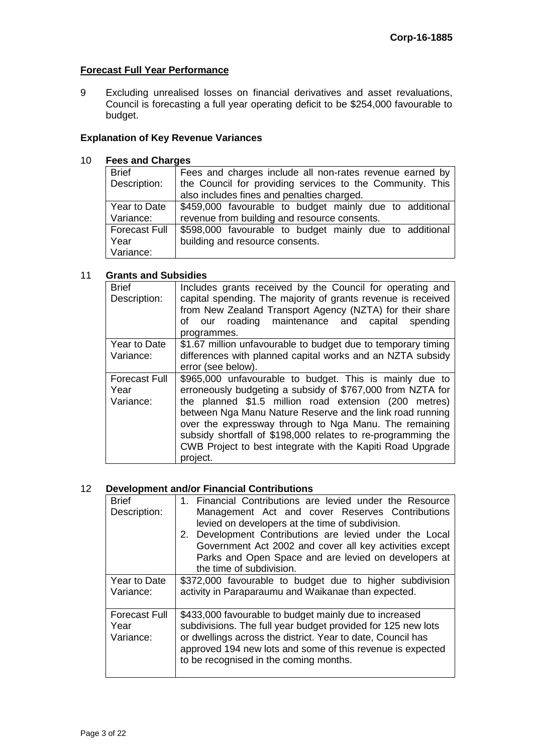## **Forecast Full Year Performance**

9 Excluding unrealised losses on financial derivatives and asset revaluations, Council is forecasting a full year operating deficit to be \$254,000 favourable to budget.

## **Explanation of Key Revenue Variances**

#### 10 **Fees and Charges**

| <b>Brief</b>         | Fees and charges include all non-rates revenue earned by  |  |  |  |  |
|----------------------|-----------------------------------------------------------|--|--|--|--|
| Description:         | the Council for providing services to the Community. This |  |  |  |  |
|                      | also includes fines and penalties charged.                |  |  |  |  |
| Year to Date         | \$459,000 favourable to budget mainly due to additional   |  |  |  |  |
| Variance:            | revenue from building and resource consents.              |  |  |  |  |
| <b>Forecast Full</b> | \$598,000 favourable to budget mainly due to additional   |  |  |  |  |
| Year                 | building and resource consents.                           |  |  |  |  |
| Variance:            |                                                           |  |  |  |  |

## 11 **Grants and Subsidies**

| <b>Brief</b><br>Description: | Includes grants received by the Council for operating and<br>capital spending. The majority of grants revenue is received<br>from New Zealand Transport Agency (NZTA) for their share<br>our roading maintenance and capital spending<br>оf<br>programmes. |
|------------------------------|------------------------------------------------------------------------------------------------------------------------------------------------------------------------------------------------------------------------------------------------------------|
| Year to Date                 | \$1.67 million unfavourable to budget due to temporary timing                                                                                                                                                                                              |
| Variance:                    | differences with planned capital works and an NZTA subsidy                                                                                                                                                                                                 |
|                              | error (see below).                                                                                                                                                                                                                                         |
| <b>Forecast Full</b>         | \$965,000 unfavourable to budget. This is mainly due to                                                                                                                                                                                                    |
| Year                         | erroneously budgeting a subsidy of \$767,000 from NZTA for                                                                                                                                                                                                 |
| Variance:                    | the planned \$1.5 million road extension (200 metres)                                                                                                                                                                                                      |
|                              | between Nga Manu Nature Reserve and the link road running                                                                                                                                                                                                  |
|                              | over the expressway through to Nga Manu. The remaining                                                                                                                                                                                                     |
|                              | subsidy shortfall of \$198,000 relates to re-programming the                                                                                                                                                                                               |
|                              | CWB Project to best integrate with the Kapiti Road Upgrade                                                                                                                                                                                                 |
|                              | project.                                                                                                                                                                                                                                                   |

## 12 **Development and/or Financial Contributions**

| <b>Brief</b><br>Description:              | 1. Financial Contributions are levied under the Resource<br>Management Act and cover Reserves Contributions<br>levied on developers at the time of subdivision.<br>2. Development Contributions are levied under the Local<br>Government Act 2002 and cover all key activities except<br>Parks and Open Space and are levied on developers at<br>the time of subdivision. |  |  |  |  |
|-------------------------------------------|---------------------------------------------------------------------------------------------------------------------------------------------------------------------------------------------------------------------------------------------------------------------------------------------------------------------------------------------------------------------------|--|--|--|--|
| Year to Date<br>Variance:                 | \$372,000 favourable to budget due to higher subdivision<br>activity in Paraparaumu and Waikanae than expected.                                                                                                                                                                                                                                                           |  |  |  |  |
| <b>Forecast Full</b><br>Year<br>Variance: | \$433,000 favourable to budget mainly due to increased<br>subdivisions. The full year budget provided for 125 new lots<br>or dwellings across the district. Year to date, Council has<br>approved 194 new lots and some of this revenue is expected<br>to be recognised in the coming months.                                                                             |  |  |  |  |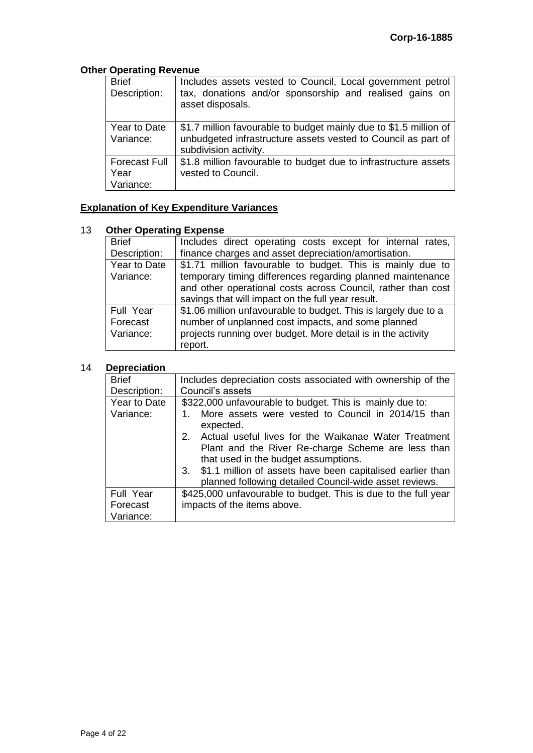## **Other Operating Revenue**

| <b>Brief</b><br>Description:              | Includes assets vested to Council, Local government petrol<br>tax, donations and/or sponsorship and realised gains on<br>asset disposals.                   |
|-------------------------------------------|-------------------------------------------------------------------------------------------------------------------------------------------------------------|
| Year to Date<br>Variance:                 | \$1.7 million favourable to budget mainly due to \$1.5 million of<br>unbudgeted infrastructure assets vested to Council as part of<br>subdivision activity. |
| <b>Forecast Full</b><br>Year<br>Variance: | \$1.8 million favourable to budget due to infrastructure assets<br>vested to Council.                                                                       |

## **Explanation of Key Expenditure Variances**

## 13 **Other Operating Expense**

| <b>Brief</b> | Includes direct operating costs except for internal rates,      |  |  |  |  |
|--------------|-----------------------------------------------------------------|--|--|--|--|
| Description: | finance charges and asset depreciation/amortisation.            |  |  |  |  |
| Year to Date | \$1.71 million favourable to budget. This is mainly due to      |  |  |  |  |
| Variance:    | temporary timing differences regarding planned maintenance      |  |  |  |  |
|              | and other operational costs across Council, rather than cost    |  |  |  |  |
|              | savings that will impact on the full year result.               |  |  |  |  |
| Full Year    | \$1.06 million unfavourable to budget. This is largely due to a |  |  |  |  |
| Forecast     | number of unplanned cost impacts, and some planned              |  |  |  |  |
| Variance:    | projects running over budget. More detail is in the activity    |  |  |  |  |
|              | report.                                                         |  |  |  |  |

## 14 **Depreciation**

| <b>Brief</b> | Includes depreciation costs associated with ownership of the                                                                                             |  |  |  |
|--------------|----------------------------------------------------------------------------------------------------------------------------------------------------------|--|--|--|
| Description: | Council's assets                                                                                                                                         |  |  |  |
| Year to Date | \$322,000 unfavourable to budget. This is mainly due to:                                                                                                 |  |  |  |
| Variance:    | More assets were vested to Council in 2014/15 than<br>expected.                                                                                          |  |  |  |
|              | Actual useful lives for the Waikanae Water Treatment<br>2.<br>Plant and the River Re-charge Scheme are less than<br>that used in the budget assumptions. |  |  |  |
|              | 3. \$1.1 million of assets have been capitalised earlier than<br>planned following detailed Council-wide asset reviews.                                  |  |  |  |
| Full Year    | \$425,000 unfavourable to budget. This is due to the full year                                                                                           |  |  |  |
| Forecast     | impacts of the items above.                                                                                                                              |  |  |  |
| Variance:    |                                                                                                                                                          |  |  |  |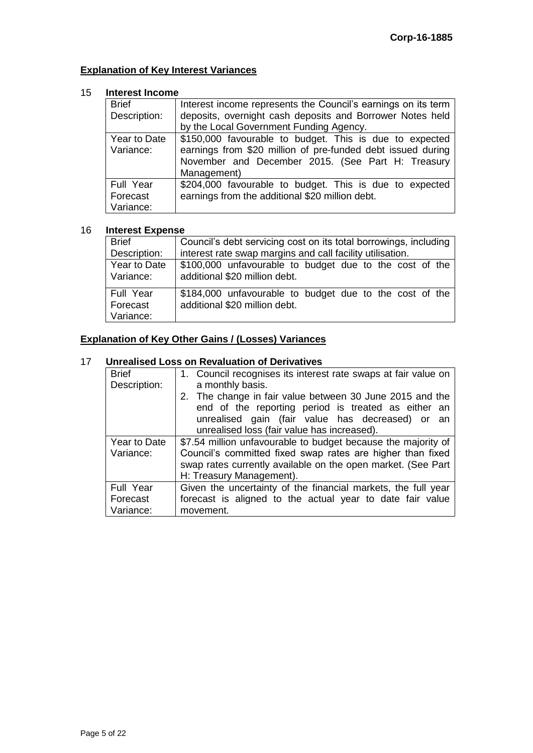## **Explanation of Key Interest Variances**

#### 15 **Interest Income**

| <b>Brief</b><br>Description:       | Interest income represents the Council's earnings on its term<br>deposits, overnight cash deposits and Borrower Notes held<br>by the Local Government Funding Agency.                      |
|------------------------------------|--------------------------------------------------------------------------------------------------------------------------------------------------------------------------------------------|
| Year to Date<br>Variance:          | \$150,000 favourable to budget. This is due to expected<br>earnings from \$20 million of pre-funded debt issued during<br>November and December 2015. (See Part H: Treasury<br>Management) |
| Full Year<br>Forecast<br>Variance: | \$204,000 favourable to budget. This is due to expected<br>earnings from the additional \$20 million debt.                                                                                 |

#### 16 **Interest Expense**

| <b>Brief</b>                         | Council's debt servicing cost on its total borrowings, including                         |  |  |  |  |  |
|--------------------------------------|------------------------------------------------------------------------------------------|--|--|--|--|--|
| Description:                         | interest rate swap margins and call facility utilisation.                                |  |  |  |  |  |
| Year to Date<br>Variance:            | \$100,000 unfavourable to budget due to the cost of the<br>additional \$20 million debt. |  |  |  |  |  |
| l Full Year<br>Forecast<br>Variance: | \$184,000 unfavourable to budget due to the cost of the<br>additional \$20 million debt. |  |  |  |  |  |

## **Explanation of Key Other Gains / (Losses) Variances**

## 17 **Unrealised Loss on Revaluation of Derivatives**

| <b>Brief</b><br>Description: | 1. Council recognises its interest rate swaps at fair value on<br>a monthly basis. |  |  |  |  |
|------------------------------|------------------------------------------------------------------------------------|--|--|--|--|
|                              | 2. The change in fair value between 30 June 2015 and the                           |  |  |  |  |
|                              | end of the reporting period is treated as either an                                |  |  |  |  |
|                              | unrealised gain (fair value has decreased) or an                                   |  |  |  |  |
|                              | unrealised loss (fair value has increased).                                        |  |  |  |  |
| Year to Date                 | \$7.54 million unfavourable to budget because the majority of                      |  |  |  |  |
| Variance:                    | Council's committed fixed swap rates are higher than fixed                         |  |  |  |  |
|                              | swap rates currently available on the open market. (See Part                       |  |  |  |  |
|                              | H: Treasury Management).                                                           |  |  |  |  |
| Full Year                    | Given the uncertainty of the financial markets, the full year                      |  |  |  |  |
| Forecast                     | forecast is aligned to the actual year to date fair value                          |  |  |  |  |
| Variance:                    | movement.                                                                          |  |  |  |  |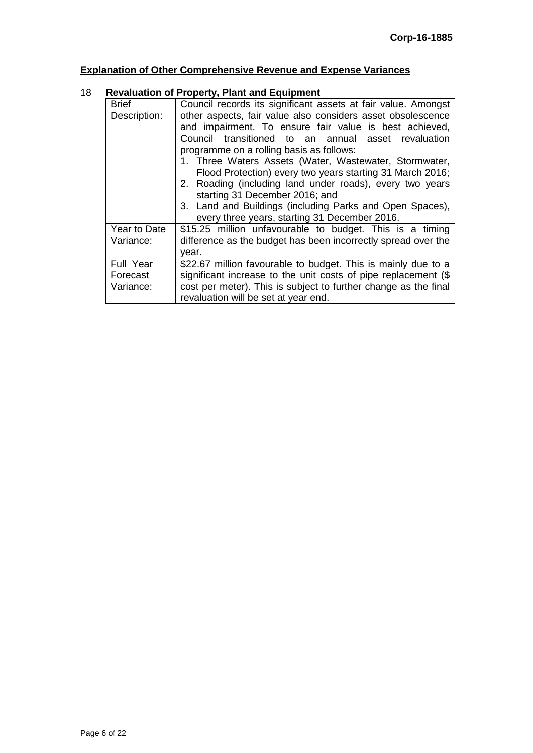# **Explanation of Other Comprehensive Revenue and Expense Variances**

## 18 **Revaluation of Property, Plant and Equipment**

| <b>Brief</b> | Council records its significant assets at fair value. Amongst   |  |  |  |  |  |  |
|--------------|-----------------------------------------------------------------|--|--|--|--|--|--|
| Description: | other aspects, fair value also considers asset obsolescence     |  |  |  |  |  |  |
|              | and impairment. To ensure fair value is best achieved,          |  |  |  |  |  |  |
|              | Council transitioned to an annual asset revaluation             |  |  |  |  |  |  |
|              | programme on a rolling basis as follows:                        |  |  |  |  |  |  |
|              | 1. Three Waters Assets (Water, Wastewater, Stormwater,          |  |  |  |  |  |  |
|              | Flood Protection) every two years starting 31 March 2016;       |  |  |  |  |  |  |
|              | 2. Roading (including land under roads), every two years        |  |  |  |  |  |  |
|              | starting 31 December 2016; and                                  |  |  |  |  |  |  |
|              | 3. Land and Buildings (including Parks and Open Spaces),        |  |  |  |  |  |  |
|              | every three years, starting 31 December 2016.                   |  |  |  |  |  |  |
| Year to Date | \$15.25 million unfavourable to budget. This is a timing        |  |  |  |  |  |  |
| Variance:    | difference as the budget has been incorrectly spread over the   |  |  |  |  |  |  |
|              | vear.                                                           |  |  |  |  |  |  |
| Full Year    | \$22.67 million favourable to budget. This is mainly due to a   |  |  |  |  |  |  |
| Forecast     | significant increase to the unit costs of pipe replacement (\$  |  |  |  |  |  |  |
| Variance:    | cost per meter). This is subject to further change as the final |  |  |  |  |  |  |
|              | revaluation will be set at year end.                            |  |  |  |  |  |  |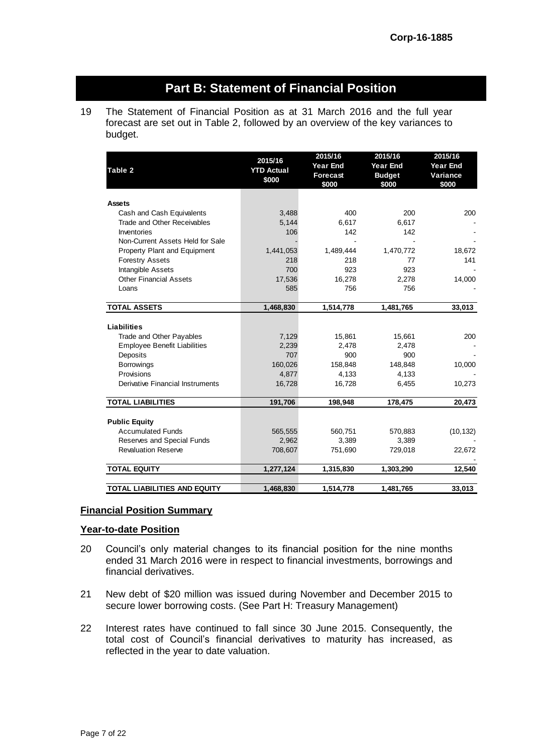# **Part B: Statement of Financial Position**

19 The Statement of Financial Position as at 31 March 2016 and the full year forecast are set out in Table 2, followed by an overview of the key variances to budget.

| Table 2                             | 2015/16<br><b>YTD Actual</b><br>\$000 | 2015/16<br><b>Year End</b><br><b>Forecast</b><br>\$000 | 2015/16<br><b>Year End</b><br><b>Budget</b><br>\$000 | 2015/16<br><b>Year End</b><br>Variance<br>\$000 |
|-------------------------------------|---------------------------------------|--------------------------------------------------------|------------------------------------------------------|-------------------------------------------------|
| <b>Assets</b>                       |                                       |                                                        |                                                      |                                                 |
| Cash and Cash Equivalents           | 3,488                                 | 400                                                    | 200                                                  | 200                                             |
| Trade and Other Receivables         | 5,144                                 | 6,617                                                  | 6,617                                                |                                                 |
| Inventories                         | 106                                   | 142                                                    | 142                                                  |                                                 |
| Non-Current Assets Held for Sale    |                                       |                                                        |                                                      |                                                 |
| Property Plant and Equipment        | 1,441,053                             | 1,489,444                                              | 1,470,772                                            | 18,672                                          |
| <b>Forestry Assets</b>              | 218                                   | 218                                                    | 77                                                   | 141                                             |
| Intangible Assets                   | 700                                   | 923                                                    | 923                                                  |                                                 |
| <b>Other Financial Assets</b>       | 17,536                                | 16,278                                                 | 2,278                                                | 14,000                                          |
| Loans                               | 585                                   | 756                                                    | 756                                                  |                                                 |
| <b>TOTAL ASSETS</b>                 | 1,468,830                             | 1,514,778                                              | 1,481,765                                            | 33,013                                          |
|                                     |                                       |                                                        |                                                      |                                                 |
| <b>Liabilities</b>                  |                                       |                                                        |                                                      |                                                 |
| Trade and Other Payables            | 7,129                                 | 15,861                                                 | 15,661                                               | 200                                             |
| <b>Employee Benefit Liabilities</b> | 2,239                                 | 2,478                                                  | 2,478                                                |                                                 |
| Deposits                            | 707                                   | 900                                                    | 900                                                  |                                                 |
| <b>Borrowings</b>                   | 160,026                               | 158,848                                                | 148,848                                              | 10,000                                          |
| Provisions                          | 4,877                                 | 4,133                                                  | 4,133                                                |                                                 |
| Derivative Financial Instruments    | 16,728                                | 16,728                                                 | 6,455                                                | 10,273                                          |
| <b>TOTAL LIABILITIES</b>            | 191,706                               | 198,948                                                | 178,475                                              | 20,473                                          |
|                                     |                                       |                                                        |                                                      |                                                 |
| <b>Public Equity</b>                |                                       |                                                        |                                                      |                                                 |
| <b>Accumulated Funds</b>            | 565,555                               | 560,751                                                | 570,883                                              | (10, 132)                                       |
| Reserves and Special Funds          | 2,962                                 | 3,389                                                  | 3,389                                                |                                                 |
| <b>Revaluation Reserve</b>          | 708,607                               | 751,690                                                | 729,018                                              | 22,672                                          |
| <b>TOTAL EQUITY</b>                 | 1,277,124                             | 1,315,830                                              | 1,303,290                                            | 12,540                                          |
| <b>TOTAL LIABILITIES AND EQUITY</b> | 1,468,830                             | 1,514,778                                              | 1,481,765                                            | 33,013                                          |
|                                     |                                       |                                                        |                                                      |                                                 |

#### **Financial Position Summary**

#### **Year-to-date Position**

- 20 Council's only material changes to its financial position for the nine months ended 31 March 2016 were in respect to financial investments, borrowings and financial derivatives.
- 21 New debt of \$20 million was issued during November and December 2015 to secure lower borrowing costs. (See Part H: Treasury Management)
- 22 Interest rates have continued to fall since 30 June 2015. Consequently, the total cost of Council's financial derivatives to maturity has increased, as reflected in the year to date valuation.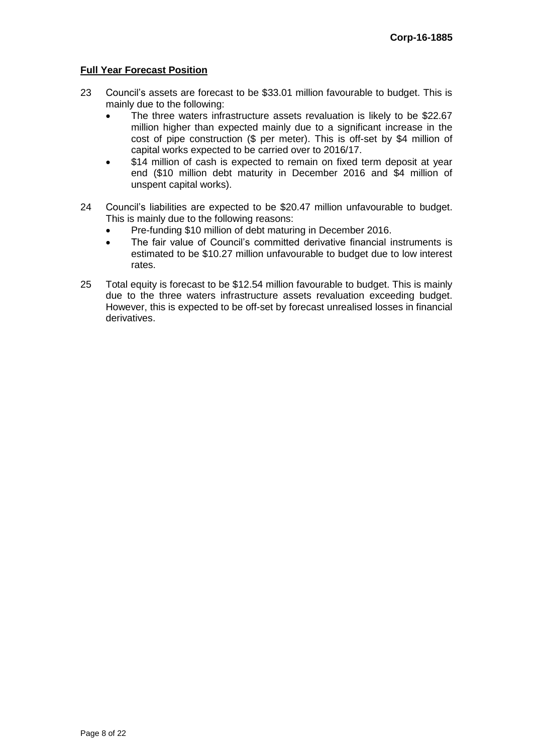## **Full Year Forecast Position**

- 23 Council's assets are forecast to be \$33.01 million favourable to budget. This is mainly due to the following:
	- The three waters infrastructure assets revaluation is likely to be \$22.67 million higher than expected mainly due to a significant increase in the cost of pipe construction (\$ per meter). This is off-set by \$4 million of capital works expected to be carried over to 2016/17.
	- \$14 million of cash is expected to remain on fixed term deposit at year end (\$10 million debt maturity in December 2016 and \$4 million of unspent capital works).
- 24 Council's liabilities are expected to be \$20.47 million unfavourable to budget. This is mainly due to the following reasons:
	- Pre-funding \$10 million of debt maturing in December 2016.
	- The fair value of Council's committed derivative financial instruments is estimated to be \$10.27 million unfavourable to budget due to low interest rates.
- 25 Total equity is forecast to be \$12.54 million favourable to budget. This is mainly due to the three waters infrastructure assets revaluation exceeding budget. However, this is expected to be off-set by forecast unrealised losses in financial derivatives.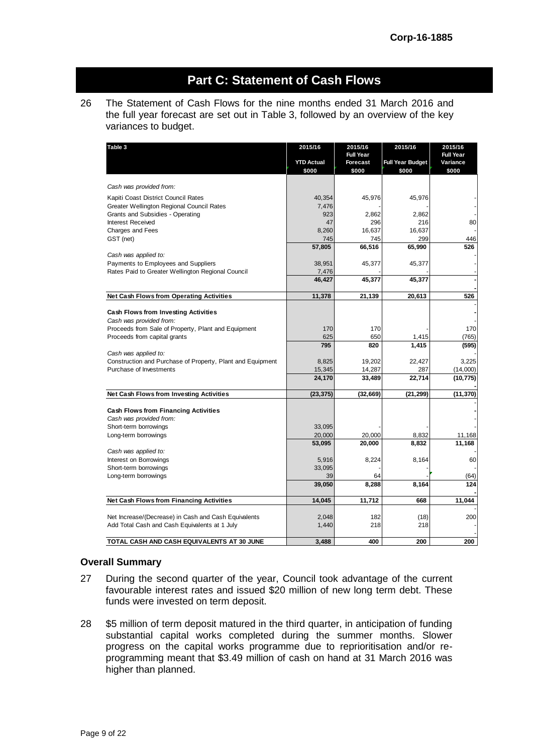# **Part C: Statement of Cash Flows**

26 The Statement of Cash Flows for the nine months ended 31 March 2016 and the full year forecast are set out in Table 3, followed by an overview of the key variances to budget.

| Table 3                                                    | 2015/16           | 2015/16          | 2015/16                 | 2015/16          |
|------------------------------------------------------------|-------------------|------------------|-------------------------|------------------|
|                                                            |                   | <b>Full Year</b> |                         | <b>Full Year</b> |
|                                                            | <b>YTD Actual</b> | <b>Forecast</b>  | <b>Full Year Budget</b> | Variance         |
|                                                            | \$000             | \$000            | \$000                   | \$000            |
| Cash was provided from:                                    |                   |                  |                         |                  |
| Kapiti Coast District Council Rates                        | 40,354            | 45,976           | 45,976                  |                  |
| Greater Wellington Regional Council Rates                  | 7,476             |                  |                         |                  |
| Grants and Subsidies - Operating                           | 923               | 2,862            | 2,862                   |                  |
| <b>Interest Received</b>                                   | 47                | 296              | 216                     | 80               |
| <b>Charges and Fees</b>                                    | 8,260             | 16.637           | 16,637                  |                  |
| GST (net)                                                  | 745               | 745              | 299                     | 446              |
|                                                            | 57,805            | 66,516           | 65,990                  | 526              |
| Cash was applied to:                                       |                   |                  |                         |                  |
| Payments to Employees and Suppliers                        | 38,951            | 45,377           | 45,377                  |                  |
| Rates Paid to Greater Wellington Regional Council          | 7,476             |                  |                         |                  |
|                                                            | 46,427            | 45,377           | 45,377                  |                  |
|                                                            |                   |                  |                         |                  |
| <b>Net Cash Flows from Operating Activities</b>            | 11,378            | 21,139           | 20,613                  | 526              |
|                                                            |                   |                  |                         |                  |
| <b>Cash Flows from Investing Activities</b>                |                   |                  |                         |                  |
| Cash was provided from:                                    |                   |                  |                         |                  |
| Proceeds from Sale of Property, Plant and Equipment        | 170               | 170              |                         | 170              |
| Proceeds from capital grants                               | 625               | 650              | 1,415                   | (765)            |
|                                                            | 795               | 820              | 1,415                   | (595)            |
| Cash was applied to:                                       |                   |                  |                         |                  |
| Construction and Purchase of Property, Plant and Equipment | 8,825             | 19,202           | 22,427                  | 3,225            |
| Purchase of Investments                                    | 15,345            | 14,287           | 287                     | (14,000)         |
|                                                            | 24,170            | 33,489           | 22,714                  | (10, 775)        |
| Net Cash Flows from Investing Activities                   | (23, 375)         | (32, 669)        | (21, 299)               | (11, 370)        |
|                                                            |                   |                  |                         |                  |
| <b>Cash Flows from Financing Activities</b>                |                   |                  |                         |                  |
| Cash was provided from:                                    |                   |                  |                         |                  |
| Short-term borrowings                                      | 33,095            |                  |                         |                  |
| Long-term borrowings                                       | 20,000            | 20,000           | 8,832                   | 11,168           |
|                                                            | 53,095            | 20,000           | 8,832                   | 11,168           |
| Cash was applied to:                                       |                   |                  |                         |                  |
| Interest on Borrowings                                     | 5,916             | 8,224            | 8,164                   | 60               |
| Short-term borrowings                                      | 33,095<br>39      |                  |                         |                  |
| Long-term borrowings                                       | 39,050            | 64<br>8,288      | 8,164                   | (64)<br>124      |
|                                                            |                   |                  |                         |                  |
| Net Cash Flows from Financing Activities                   | 14,045            | 11,712           | 668                     | 11,044           |
|                                                            |                   |                  |                         |                  |
| Net Increase/(Decrease) in Cash and Cash Equivalents       | 2,048             | 182              | (18)                    | 200              |
| Add Total Cash and Cash Equivalents at 1 July              | 1,440             | 218              | 218                     |                  |
| TOTAL CASH AND CASH EQUIVALENTS AT 30 JUNE                 | 3.488             | 400              | 200                     | 200              |

#### **Overall Summary**

- 27 During the second quarter of the year, Council took advantage of the current favourable interest rates and issued \$20 million of new long term debt. These funds were invested on term deposit.
- 28 \$5 million of term deposit matured in the third quarter, in anticipation of funding substantial capital works completed during the summer months. Slower progress on the capital works programme due to reprioritisation and/or reprogramming meant that \$3.49 million of cash on hand at 31 March 2016 was higher than planned.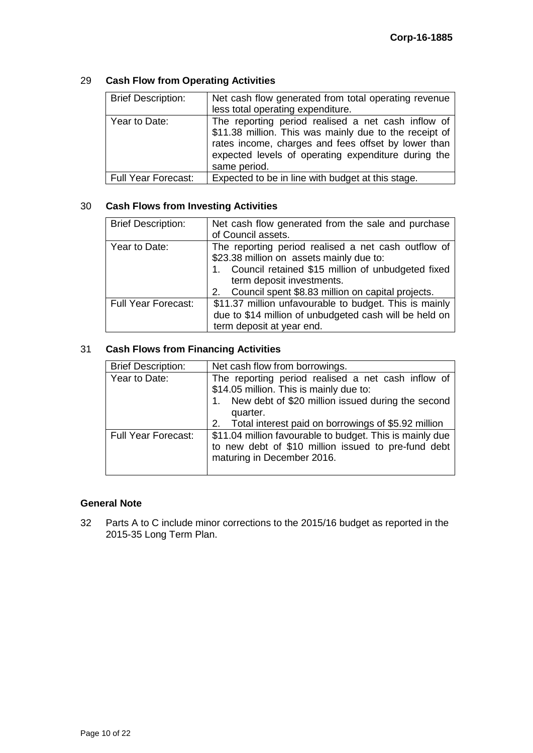## 29 **Cash Flow from Operating Activities**

| <b>Brief Description:</b>  | Net cash flow generated from total operating revenue<br>less total operating expenditure.                                                                                                                                                  |
|----------------------------|--------------------------------------------------------------------------------------------------------------------------------------------------------------------------------------------------------------------------------------------|
| Year to Date:              | The reporting period realised a net cash inflow of<br>\$11.38 million. This was mainly due to the receipt of<br>rates income, charges and fees offset by lower than<br>expected levels of operating expenditure during the<br>same period. |
| <b>Full Year Forecast:</b> | Expected to be in line with budget at this stage.                                                                                                                                                                                          |

#### 30 **Cash Flows from Investing Activities**

| <b>Brief Description:</b>  | Net cash flow generated from the sale and purchase<br>of Council assets.                                                                                                                                                                     |
|----------------------------|----------------------------------------------------------------------------------------------------------------------------------------------------------------------------------------------------------------------------------------------|
| Year to Date:              | The reporting period realised a net cash outflow of<br>\$23.38 million on assets mainly due to:<br>1. Council retained \$15 million of unbudgeted fixed<br>term deposit investments.<br>2. Council spent \$8.83 million on capital projects. |
| <b>Full Year Forecast:</b> | \$11.37 million unfavourable to budget. This is mainly<br>due to \$14 million of unbudgeted cash will be held on<br>term deposit at year end.                                                                                                |

## 31 **Cash Flows from Financing Activities**

| <b>Brief Description:</b>  | Net cash flow from borrowings.                                                                                                                                    |
|----------------------------|-------------------------------------------------------------------------------------------------------------------------------------------------------------------|
| Year to Date:              | The reporting period realised a net cash inflow of<br>\$14.05 million. This is mainly due to:<br>1. New debt of \$20 million issued during the second<br>quarter. |
|                            | 2. Total interest paid on borrowings of \$5.92 million                                                                                                            |
| <b>Full Year Forecast:</b> | \$11.04 million favourable to budget. This is mainly due<br>to new debt of \$10 million issued to pre-fund debt<br>maturing in December 2016.                     |

#### **General Note**

32 Parts A to C include minor corrections to the 2015/16 budget as reported in the 2015-35 Long Term Plan.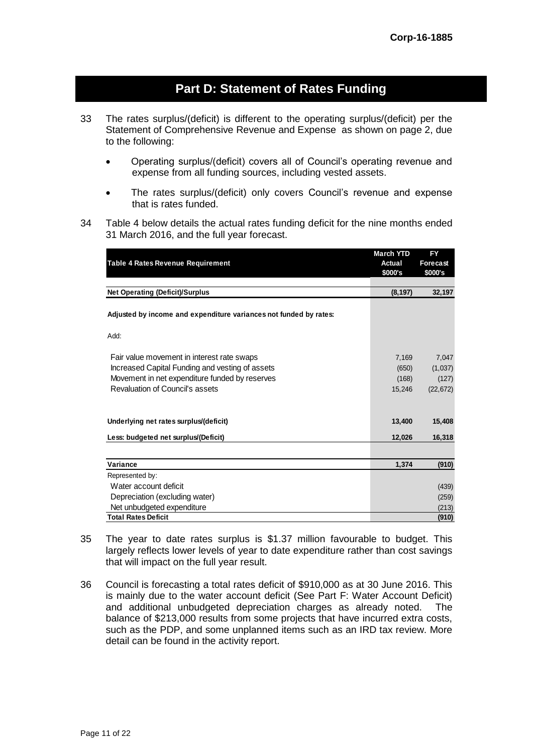# **Part D: Statement of Rates Funding**

- 33 The rates surplus/(deficit) is different to the operating surplus/(deficit) per the Statement of Comprehensive Revenue and Expense as shown on page 2, due to the following:
	- Operating surplus/(deficit) covers all of Council's operating revenue and expense from all funding sources, including vested assets.
	- The rates surplus/(deficit) only covers Council's revenue and expense that is rates funded.
- 34 Table 4 below details the actual rates funding deficit for the nine months ended 31 March 2016, and the full year forecast.

|                                                                   | <b>March YTD</b> | FY              |
|-------------------------------------------------------------------|------------------|-----------------|
| <b>Table 4 Rates Revenue Requirement</b>                          | Actual           | <b>Forecast</b> |
|                                                                   | \$000's          | \$000's         |
| <b>Net Operating (Deficit)/Surplus</b>                            | (8, 197)         | 32,197          |
|                                                                   |                  |                 |
| Adjusted by income and expenditure variances not funded by rates: |                  |                 |
| Add:                                                              |                  |                 |
| Fair value movement in interest rate swaps                        | 7,169            | 7,047           |
| Increased Capital Funding and vesting of assets                   | (650)            | (1,037)         |
| Movement in net expenditure funded by reserves                    | (168)            | (127)           |
| Revaluation of Council's assets                                   | 15,246           | (22, 672)       |
| Underlying net rates surplus/(deficit)                            | 13,400           | 15,408          |
| Less: budgeted net surplus/(Deficit)                              | 12,026           | 16,318          |
|                                                                   |                  |                 |
| Variance                                                          | 1,374            | (910)           |
| Represented by:                                                   |                  |                 |
| Water account deficit                                             |                  | (439)           |
| Depreciation (excluding water)                                    |                  | (259)           |
| Net unbudgeted expenditure                                        |                  | (213)           |
| <b>Total Rates Deficit</b>                                        |                  | (910)           |

- 35 The year to date rates surplus is \$1.37 million favourable to budget. This largely reflects lower levels of year to date expenditure rather than cost savings that will impact on the full year result.
- 36 Council is forecasting a total rates deficit of \$910,000 as at 30 June 2016. This is mainly due to the water account deficit (See Part F: Water Account Deficit) and additional unbudgeted depreciation charges as already noted. The balance of \$213,000 results from some projects that have incurred extra costs, such as the PDP, and some unplanned items such as an IRD tax review. More detail can be found in the activity report.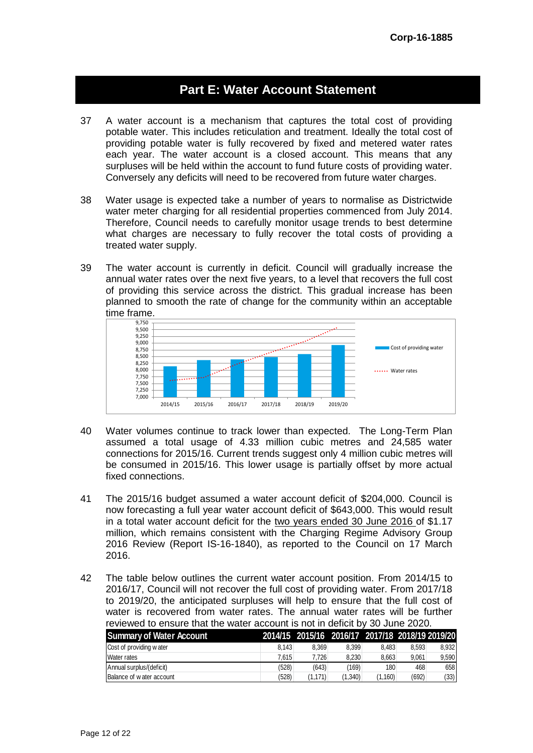# **Part E: Water Account Statement**

- 37 A water account is a mechanism that captures the total cost of providing potable water. This includes reticulation and treatment. Ideally the total cost of providing potable water is fully recovered by fixed and metered water rates each year. The water account is a closed account. This means that any surpluses will be held within the account to fund future costs of providing water. Conversely any deficits will need to be recovered from future water charges.
- 38 Water usage is expected take a number of years to normalise as Districtwide water meter charging for all residential properties commenced from July 2014. Therefore, Council needs to carefully monitor usage trends to best determine what charges are necessary to fully recover the total costs of providing a treated water supply.
- 39 The water account is currently in deficit. Council will gradually increase the annual water rates over the next five years, to a level that recovers the full cost of providing this service across the district. This gradual increase has been planned to smooth the rate of change for the community within an acceptable time frame.



- 40 Water volumes continue to track lower than expected. The Long-Term Plan assumed a total usage of 4.33 million cubic metres and 24,585 water connections for 2015/16. Current trends suggest only 4 million cubic metres will be consumed in 2015/16. This lower usage is partially offset by more actual fixed connections.
- 41 The 2015/16 budget assumed a water account deficit of \$204,000. Council is now forecasting a full year water account deficit of \$643,000. This would result in a total water account deficit for the two years ended 30 June 2016 of \$1.17 million, which remains consistent with the Charging Regime Advisory Group 2016 Review (Report IS-16-1840), as reported to the Council on 17 March 2016.
- 42 The table below outlines the current water account position. From 2014/15 to 2016/17, Council will not recover the full cost of providing water. From 2017/18 to 2019/20, the anticipated surpluses will help to ensure that the full cost of water is recovered from water rates. The annual water rates will be further

| reviewed to ensure that the water account is not in deficit by 30 June 2020. |       |                                                 |         |         |       |       |
|------------------------------------------------------------------------------|-------|-------------------------------------------------|---------|---------|-------|-------|
| <b>Summary of Water Account</b>                                              |       | 2014/15 2015/16 2016/17 2017/18 2018/19 2019/20 |         |         |       |       |
| Cost of providing water                                                      | 8.143 | 8.369                                           | 8.399   | 8.483   | 8.593 | 8,932 |
| <b>Water rates</b>                                                           | 7.615 | 7.726                                           | 8.230   | 8,663   | 9.061 | 9,590 |
| Annual surplus/(deficit)                                                     | (528) | (643)                                           | (169)   | 180     | 468   | 658   |
| Balance of water account                                                     | (528) | (1.171)                                         | (1,340) | (1,160) | (692) | (33)  |
|                                                                              |       |                                                 |         |         |       |       |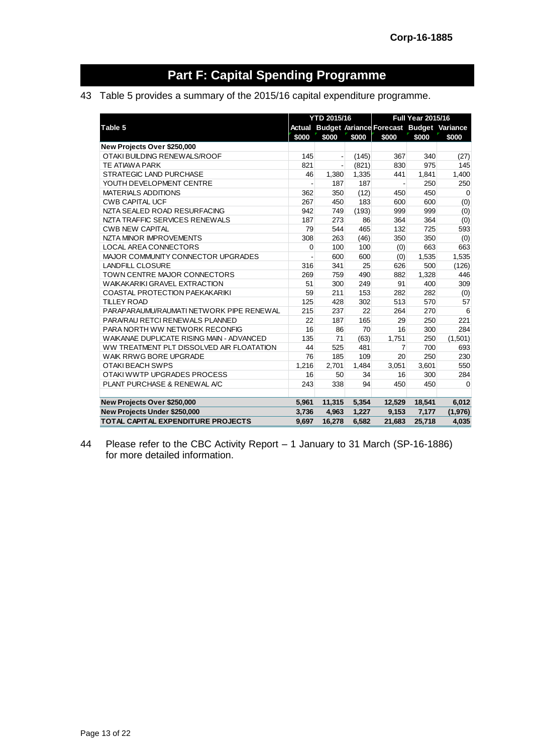# **Part F: Capital Spending Programme**

## 43 Table 5 provides a summary of the 2015/16 capital expenditure programme.

|                                           |       | YTD 2015/16 |       |                                                 | <b>Full Year 2015/16</b> |             |
|-------------------------------------------|-------|-------------|-------|-------------------------------------------------|--------------------------|-------------|
| Table 5                                   |       |             |       | Actual Budget /ariance Forecast Budget Variance |                          |             |
|                                           | \$000 | \$000       | \$000 | \$000                                           | \$000                    | \$000       |
| New Projects Over \$250,000               |       |             |       |                                                 |                          |             |
| OTAKI BUILDING RENEWALS/ROOF              | 145   |             | (145) | 367                                             | 340                      | (27)        |
| <b>TE ATIAWA PARK</b>                     | 821   |             | (821) | 830                                             | 975                      | 145         |
| <b>STRATEGIC LAND PURCHASE</b>            | 46    | 1,380       | 1,335 | 441                                             | 1,841                    | 1,400       |
| YOUTH DEVELOPMENT CENTRE                  |       | 187         | 187   |                                                 | 250                      | 250         |
| <b>MATERIALS ADDITIONS</b>                | 362   | 350         | (12)  | 450                                             | 450                      | $\mathbf 0$ |
| <b>CWB CAPITAL UCF</b>                    | 267   | 450         | 183   | 600                                             | 600                      | (0)         |
| NZTA SEALED ROAD RESURFACING              | 942   | 749         | (193) | 999                                             | 999                      | (0)         |
| NZTA TRAFFIC SERVICES RENEWALS            | 187   | 273         | 86    | 364                                             | 364                      | (0)         |
| <b>CWB NEW CAPITAL</b>                    | 79    | 544         | 465   | 132                                             | 725                      | 593         |
| NZTA MINOR IMPROVEMENTS                   | 308   | 263         | (46)  | 350                                             | 350                      | (0)         |
| <b>LOCAL AREA CONNECTORS</b>              | 0     | 100         | 100   | (0)                                             | 663                      | 663         |
| MAJOR COMMUNITY CONNECTOR UPGRADES        |       | 600         | 600   | (0)                                             | 1,535                    | 1,535       |
| <b>LANDFILL CLOSURE</b>                   | 316   | 341         | 25    | 626                                             | 500                      | (126)       |
| TOWN CENTRE MAJOR CONNECTORS              | 269   | 759         | 490   | 882                                             | 1,328                    | 446         |
| <b>WAIKAKARIKI GRAVEL EXTRACTION</b>      | 51    | 300         | 249   | 91                                              | 400                      | 309         |
| <b>COASTAL PROTECTION PAEKAKARIKI</b>     | 59    | 211         | 153   | 282                                             | 282                      | (0)         |
| <b>TILLEY ROAD</b>                        | 125   | 428         | 302   | 513                                             | 570                      | 57          |
| PARAPARAUMU/RAUMATI NETWORK PIPE RENEWAL  | 215   | 237         | 22    | 264                                             | 270                      | 6           |
| PARA/RAU RETCI RENEWALS PLANNED           | 22    | 187         | 165   | 29                                              | 250                      | 221         |
| PARA NORTH WW NETWORK RECONFIG            | 16    | 86          | 70    | 16                                              | 300                      | 284         |
| WAIKANAE DUPLICATE RISING MAIN - ADVANCED | 135   | 71          | (63)  | 1,751                                           | 250                      | (1,501)     |
| WW TREATMENT PLT DISSOLVED AIR FLOATATION | 44    | 525         | 481   | 7                                               | 700                      | 693         |
| WAIK RRWG BORE UPGRADE                    | 76    | 185         | 109   | 20                                              | 250                      | 230         |
| OTAKI BEACH SWPS                          | 1,216 | 2,701       | 1,484 | 3,051                                           | 3,601                    | 550         |
| OTAKI WWTP UPGRADES PROCESS               | 16    | 50          | 34    | 16                                              | 300                      | 284         |
| PLANT PURCHASE & RENEWAL A/C              | 243   | 338         | 94    | 450                                             | 450                      | $\Omega$    |
| New Projects Over \$250,000               | 5,961 | 11,315      | 5,354 | 12,529                                          | 18,541                   | 6,012       |
| New Projects Under \$250,000              | 3,736 | 4,963       | 1,227 | 9,153                                           | 7,177                    | (1,976)     |
| TOTAL CAPITAL EXPENDITURE PROJECTS        | 9,697 | 16,278      | 6,582 | 21,683                                          | 25,718                   | 4,035       |

44 Please refer to the CBC Activity Report – 1 January to 31 March (SP-16-1886) for more detailed information.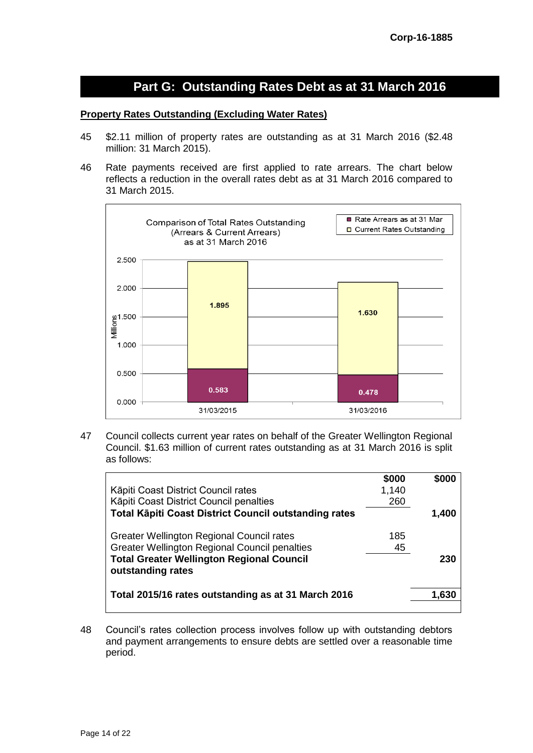# **Part G: Outstanding Rates Debt as at 31 March 2016**

#### **Property Rates Outstanding (Excluding Water Rates)**

- 45 \$2.11 million of property rates are outstanding as at 31 March 2016 (\$2.48 million: 31 March 2015).
- 46 Rate payments received are first applied to rate arrears. The chart below reflects a reduction in the overall rates debt as at 31 March 2016 compared to 31 March 2015.



47 Council collects current year rates on behalf of the Greater Wellington Regional Council. \$1.63 million of current rates outstanding as at 31 March 2016 is split as follows:

| \$000 | \$000 |
|-------|-------|
| 1,140 |       |
| 260   |       |
|       | 1.400 |
| 185   |       |
| 45    |       |
|       | 230   |
|       | 1.630 |
|       |       |

48 Council's rates collection process involves follow up with outstanding debtors and payment arrangements to ensure debts are settled over a reasonable time period.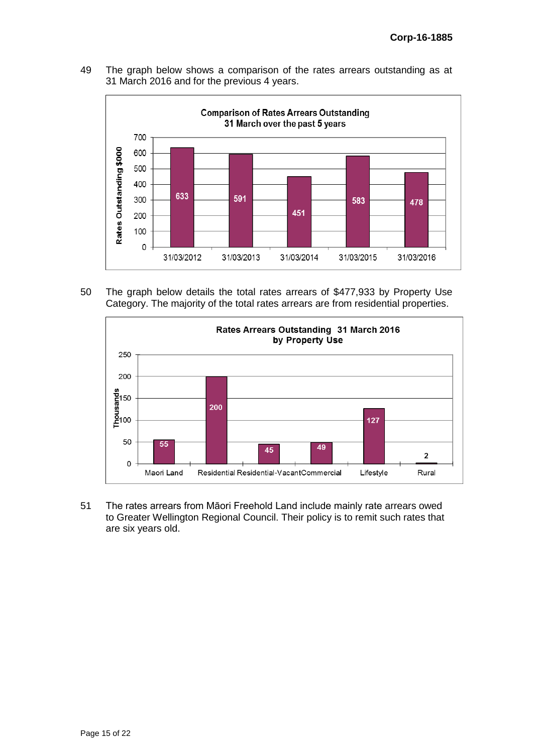49 The graph below shows a comparison of the rates arrears outstanding as at 31 March 2016 and for the previous 4 years.



50 The graph below details the total rates arrears of \$477,933 by Property Use Category. The majority of the total rates arrears are from residential properties.



51 The rates arrears from Māori Freehold Land include mainly rate arrears owed to Greater Wellington Regional Council. Their policy is to remit such rates that are six years old.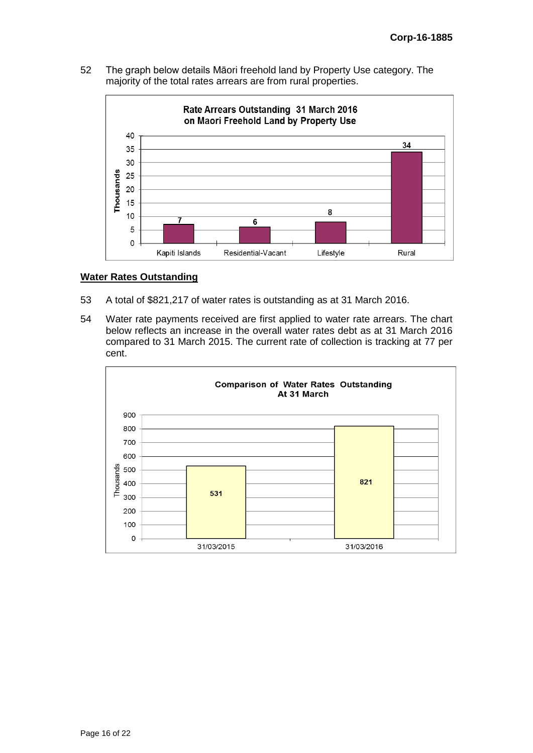52 The graph below details Māori freehold land by Property Use category. The majority of the total rates arrears are from rural properties.



#### **Water Rates Outstanding**

- 53 A total of \$821,217 of water rates is outstanding as at 31 March 2016.
- 54 Water rate payments received are first applied to water rate arrears. The chart below reflects an increase in the overall water rates debt as at 31 March 2016 compared to 31 March 2015. The current rate of collection is tracking at 77 per cent.

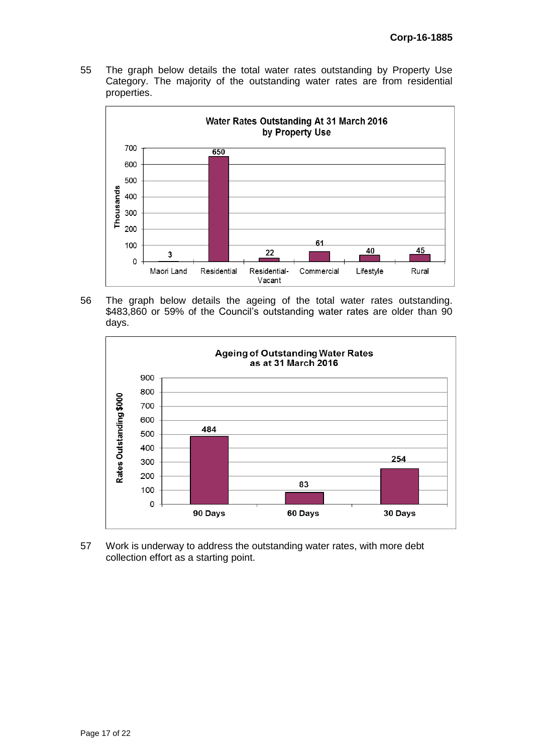55 The graph below details the total water rates outstanding by Property Use Category. The majority of the outstanding water rates are from residential properties.



56 The graph below details the ageing of the total water rates outstanding. \$483,860 or 59% of the Council's outstanding water rates are older than 90 days.



57 Work is underway to address the outstanding water rates, with more debt collection effort as a starting point.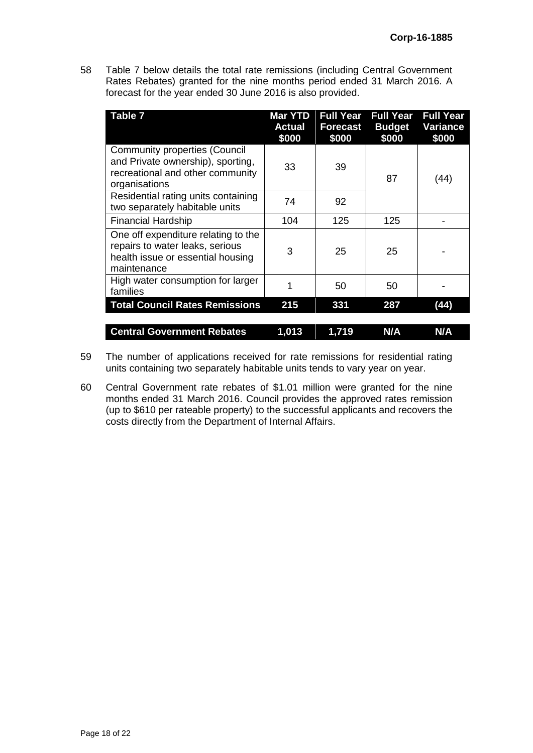58 Table 7 below details the total rate remissions (including Central Government Rates Rebates) granted for the nine months period ended 31 March 2016. A forecast for the year ended 30 June 2016 is also provided.

| <b>Table 7</b>                                                                                                                 | <b>Mar YTD</b><br><b>Actual</b><br>\$000 | <b>Full Year</b><br><b>Forecast</b><br>\$000 | <b>Full Year</b><br><b>Budget</b><br>\$000 | <b>Full Year</b><br>Variance<br>\$000 |
|--------------------------------------------------------------------------------------------------------------------------------|------------------------------------------|----------------------------------------------|--------------------------------------------|---------------------------------------|
| <b>Community properties (Council</b><br>and Private ownership), sporting,<br>recreational and other community<br>organisations | 33                                       | 39                                           | 87                                         | (44)                                  |
| Residential rating units containing<br>two separately habitable units                                                          | 74                                       | 92                                           |                                            |                                       |
| <b>Financial Hardship</b>                                                                                                      | 104                                      | 125                                          | 125                                        |                                       |
| One off expenditure relating to the<br>repairs to water leaks, serious<br>health issue or essential housing<br>maintenance     | 3                                        | 25                                           | 25                                         |                                       |
| High water consumption for larger<br>families                                                                                  |                                          | 50                                           | 50                                         |                                       |
| <b>Total Council Rates Remissions</b>                                                                                          | 215                                      | 331                                          | 287                                        | (44)                                  |
| <b>Central Government Rebates</b>                                                                                              | 1,013                                    | 1,719                                        | N/A                                        | N/A                                   |

- 59 The number of applications received for rate remissions for residential rating units containing two separately habitable units tends to vary year on year.
- 60 Central Government rate rebates of \$1.01 million were granted for the nine months ended 31 March 2016. Council provides the approved rates remission (up to \$610 per rateable property) to the successful applicants and recovers the costs directly from the Department of Internal Affairs.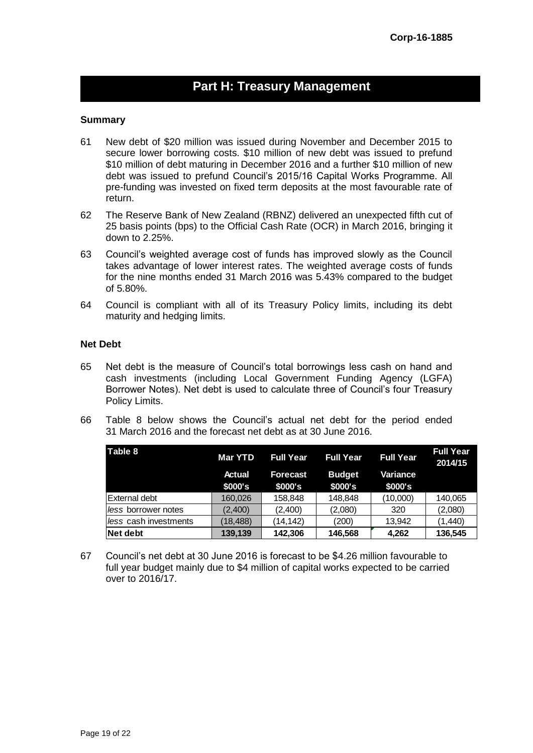# **Part H: Treasury Management**

#### **Summary**

- 61 New debt of \$20 million was issued during November and December 2015 to secure lower borrowing costs. \$10 million of new debt was issued to prefund \$10 million of debt maturing in December 2016 and a further \$10 million of new debt was issued to prefund Council's 2015/16 Capital Works Programme. All pre-funding was invested on fixed term deposits at the most favourable rate of return.
- 62 The Reserve Bank of New Zealand (RBNZ) delivered an unexpected fifth cut of 25 basis points (bps) to the Official Cash Rate (OCR) in March 2016, bringing it down to 2.25%.
- 63 Council's weighted average cost of funds has improved slowly as the Council takes advantage of lower interest rates. The weighted average costs of funds for the nine months ended 31 March 2016 was 5.43% compared to the budget of 5.80%.
- 64 Council is compliant with all of its Treasury Policy limits, including its debt maturity and hedging limits.

#### **Net Debt**

- 65 Net debt is the measure of Council's total borrowings less cash on hand and cash investments (including Local Government Funding Agency (LGFA) Borrower Notes). Net debt is used to calculate three of Council's four Treasury Policy Limits.
- 66 Table 8 below shows the Council's actual net debt for the period ended 31 March 2016 and the forecast net debt as at 30 June 2016.

| Table 8                      | <b>Mar YTD</b>    | <b>Full Year</b>           | <b>Full Year</b>         | <b>Full Year</b>    | <b>Full Year</b><br>2014/15 |
|------------------------------|-------------------|----------------------------|--------------------------|---------------------|-----------------------------|
|                              | Actual<br>\$000's | <b>Forecast</b><br>\$000's | <b>Budget</b><br>\$000's | Variance<br>\$000's |                             |
| <b>External debt</b>         | 160,026           | 158,848                    | 148,848                  | (10,000)            | 140,065                     |
| l <i>less</i> borrower notes | (2.400)           | (2,400)                    | (2,080)                  | 320                 | (2,080)                     |
| less cash investments        | (18, 488)         | (14, 142)                  | (200)                    | 13.942              | (1,440)                     |
| Net debt                     | 139,139           | 142,306                    | 146,568                  | 4,262               | 136,545                     |

67 Council's net debt at 30 June 2016 is forecast to be \$4.26 million favourable to full year budget mainly due to \$4 million of capital works expected to be carried over to 2016/17.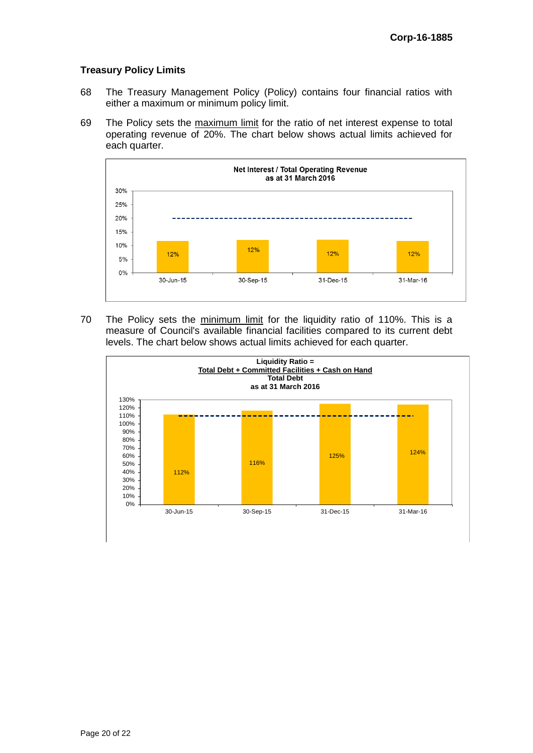#### **Treasury Policy Limits**

- 68 The Treasury Management Policy (Policy) contains four financial ratios with either a maximum or minimum policy limit.
- 69 The Policy sets the maximum limit for the ratio of net interest expense to total operating revenue of 20%. The chart below shows actual limits achieved for each quarter.



70 The Policy sets the minimum limit for the liquidity ratio of 110%. This is a measure of Council's available financial facilities compared to its current debt levels. The chart below shows actual limits achieved for each quarter.

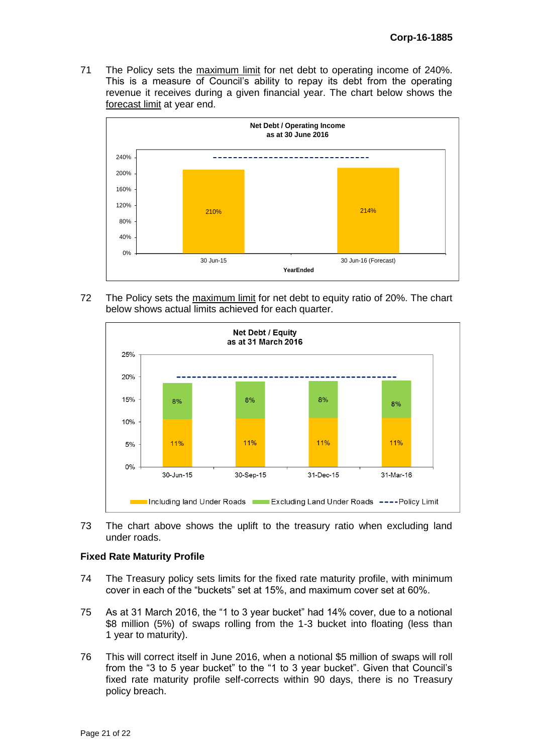71 The Policy sets the maximum limit for net debt to operating income of 240%. This is a measure of Council's ability to repay its debt from the operating revenue it receives during a given financial year. The chart below shows the forecast limit at year end.



72 The Policy sets the maximum limit for net debt to equity ratio of 20%. The chart below shows actual limits achieved for each quarter.



73 The chart above shows the uplift to the treasury ratio when excluding land under roads.

#### **Fixed Rate Maturity Profile**

- 74 The Treasury policy sets limits for the fixed rate maturity profile, with minimum cover in each of the "buckets" set at 15%, and maximum cover set at 60%.
- 75 As at 31 March 2016, the "1 to 3 year bucket" had 14% cover, due to a notional \$8 million (5%) of swaps rolling from the 1-3 bucket into floating (less than 1 year to maturity).
- 76 This will correct itself in June 2016, when a notional \$5 million of swaps will roll from the "3 to 5 year bucket" to the "1 to 3 year bucket". Given that Council's fixed rate maturity profile self-corrects within 90 days, there is no Treasury policy breach.